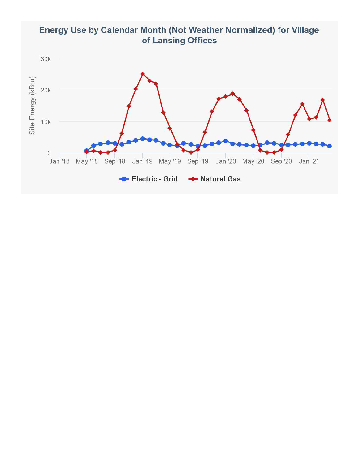

Jan '21



 $10k$ 

 $\,0\,$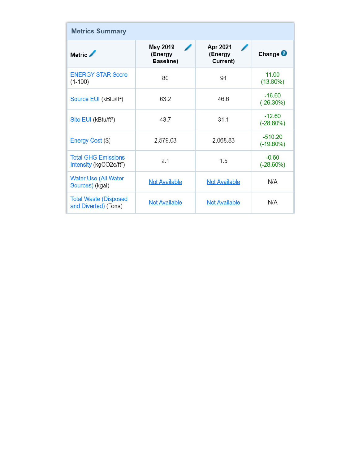| <b>Metrics Summary</b>                                            |                                  |                                 |                           |  |
|-------------------------------------------------------------------|----------------------------------|---------------------------------|---------------------------|--|
| Metric /                                                          | May 2019<br>(Energy<br>Baseline) | Apr 2021<br>(Energy<br>Current) | Change $\bullet$          |  |
| <b>ENERGY STAR Score</b><br>$(1-100)$                             | 80                               | 91                              | 11.00<br>$(13.80\%)$      |  |
| Source EUI (kBtu/ft <sup>2</sup> )                                | 63.2                             | 46.6                            | $-16.60$<br>$(-26.30%)$   |  |
| Site EUI (kBtu/ft <sup>2</sup> )                                  | 43.7                             | 31.1                            | $-12.60$<br>$(-28.80\%)$  |  |
| Energy Cost (\$)                                                  | 2,579.03                         | 2,068.83                        | $-510.20$<br>$(-19.80\%)$ |  |
| <b>Total GHG Emissions</b><br>Intensity (kgCO2e/ft <sup>2</sup> ) | 2.1                              | 1.5                             | $-0.60$<br>$(-28.60\%)$   |  |
| Water Use (All Water<br>Sources) (kgal)                           | <b>Not Available</b>             | <b>Not Available</b>            | N/A                       |  |
| <b>Total Waste (Disposed</b><br>and Diverted) (Tons)              | <b>Not Available</b>             | <b>Not Available</b>            | N/A                       |  |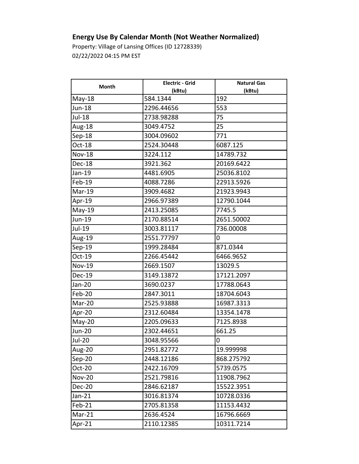## **Energy Use By Calendar Month (Not Weather Normalized)**

Property: Village of Lansing Offices (ID 12728339) 02/22/2022 04:15 PM EST

| Month         | <b>Electric - Grid</b> | <b>Natural Gas</b> |
|---------------|------------------------|--------------------|
|               | (kBtu)                 | (kBtu)             |
| May-18        | 584.1344               | 192                |
| <b>Jun-18</b> | 2296.44656             | 553                |
| Jul-18        | 2738.98288             | 75                 |
| Aug-18        | 3049.4752              | 25                 |
| Sep-18        | 3004.09602             | 771                |
| Oct-18        | 2524.30448             | 6087.125           |
| <b>Nov-18</b> | 3224.112               | 14789.732          |
| Dec-18        | 3921.362               | 20169.6422         |
| Jan-19        | 4481.6905              | 25036.8102         |
| Feb-19        | 4088.7286              | 22913.5926         |
| Mar-19        | 3909.4682              | 21923.9943         |
| Apr-19        | 2966.97389             | 12790.1044         |
| $May-19$      | 2413.25085             | 7745.5             |
| Jun-19        | 2170.88514             | 2651.50002         |
| Jul-19        | 3003.81117             | 736.00008          |
| Aug-19        | 2551.77797             | 0                  |
| $Sep-19$      | 1999.28484             | 871.0344           |
| Oct-19        | 2266.45442             | 6466.9652          |
| <b>Nov-19</b> | 2669.1507              | 13029.5            |
| Dec-19        | 3149.13872             | 17121.2097         |
| Jan-20        | 3690.0237              | 17788.0643         |
| Feb-20        | 2847.3011              | 18704.6043         |
| Mar-20        | 2525.93888             | 16987.3313         |
| Apr-20        | 2312.60484             | 13354.1478         |
| $May-20$      | 2205.09633             | 7125.8938          |
| <b>Jun-20</b> | 2302.44651             | 661.25             |
| <b>Jul-20</b> | 3048.95566             | 0                  |
| Aug-20        | 2951.82772             | 19.999998          |
| Sep-20        | 2448.12186             | 868.275792         |
| Oct-20        | 2422.16709             | 5739.0575          |
| <b>Nov-20</b> | 2521.79816             | 11908.7962         |
| Dec-20        | 2846.62187             | 15522.3951         |
| $Jan-21$      | 3016.81374             | 10728.0336         |
| Feb-21        | 2705.81358             | 11153.4432         |
| Mar-21        | 2636.4524              | 16796.6669         |
| Apr-21        | 2110.12385             | 10311.7214         |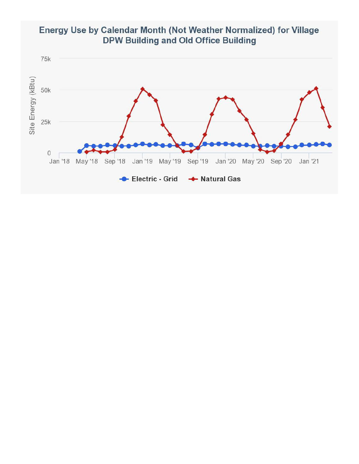

Jan '19 May '19 Sep '19 Jan '20 May '20 Sep '20

Jan '21



 $25k$ 

 $\mathsf{O}\xspace$ 

Jan '18 May '18 Sep '18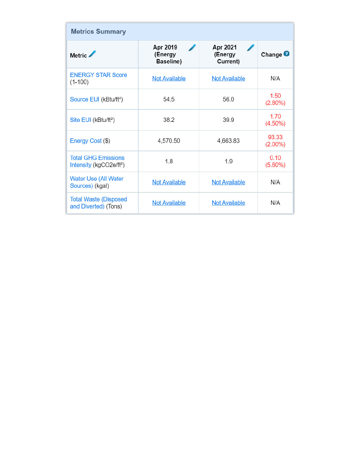| <b>Metrics Summary</b>                                            |                                  |                                 |                     |  |
|-------------------------------------------------------------------|----------------------------------|---------------------------------|---------------------|--|
| Metric /                                                          | Apr 2019<br>(Energy<br>Baseline) | Apr 2021<br>(Energy<br>Current) | Change <sup>O</sup> |  |
| <b>ENERGY STAR Score</b><br>$(1-100)$                             | <b>Not Available</b>             | <b>Not Available</b>            | N/A                 |  |
| Source EUI (kBtu/ft <sup>2</sup> )                                | 54.5                             | 56.0                            | 1.50<br>$(2.80\%)$  |  |
| Site EUI (kBtu/ft <sup>2</sup> )                                  | 38.2                             | 39.9                            | 1.70<br>$(4.50\%)$  |  |
| Energy Cost (\$)                                                  | 4,570.50                         | 4,663.83                        | 93.33<br>$(2.00\%)$ |  |
| <b>Total GHG Emissions</b><br>Intensity (kgCO2e/ft <sup>2</sup> ) | 1.8                              | 1.9                             | 0.10<br>$(5.60\%)$  |  |
| <b>Water Use (All Water</b><br>Sources) (kgal)                    | <b>Not Available</b>             | <b>Not Available</b>            | N/A                 |  |
| <b>Total Waste (Disposed</b><br>and Diverted) (Tons)              | <b>Not Available</b>             | <b>Not Available</b>            | N/A                 |  |